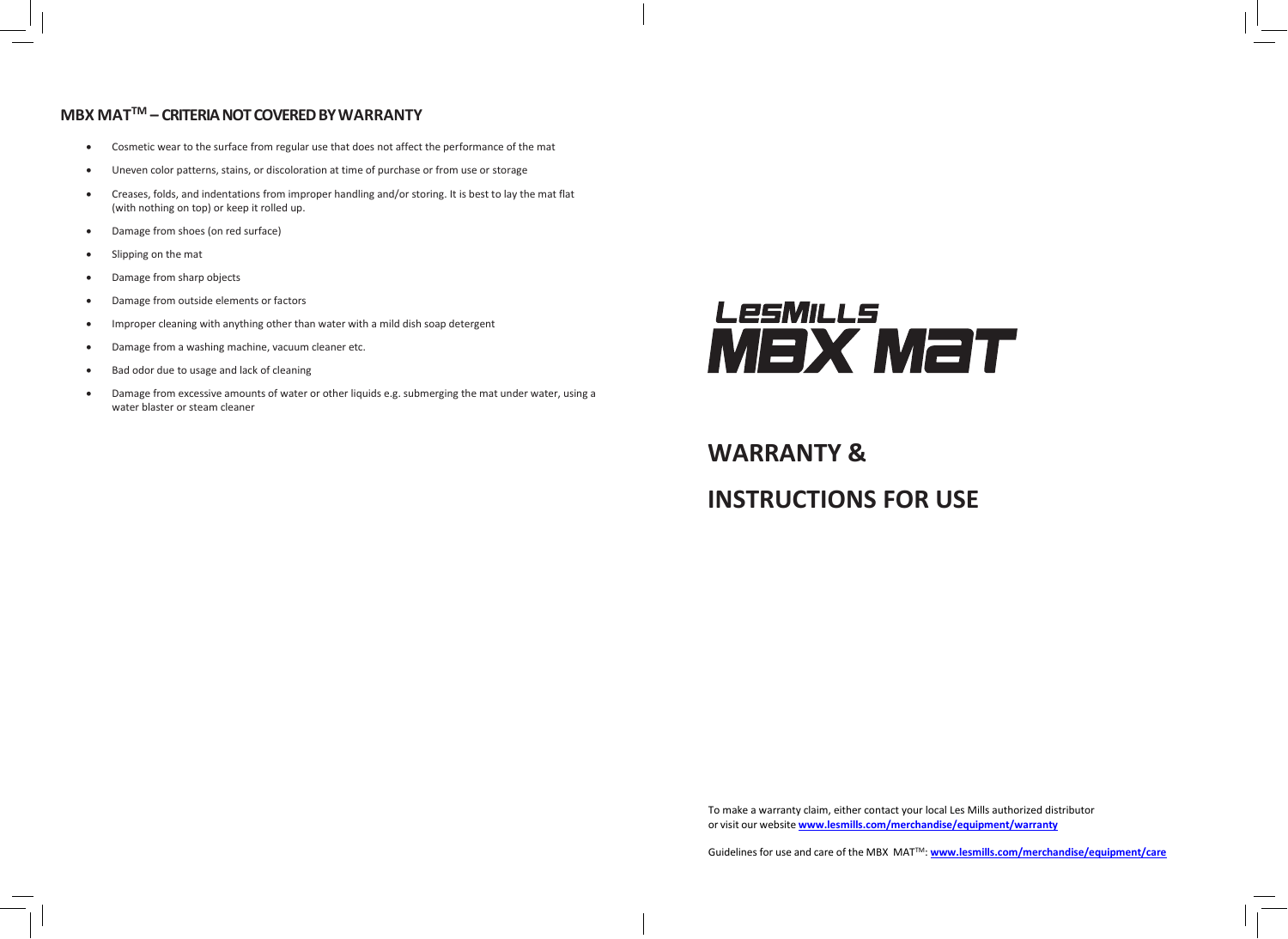## **MBX MATTM – CRITERIA NOT COVERED BY WARRANTY**

- Cosmetic wear to the surface from regular use that does not affect the performance of the mat
- Uneven color patterns, stains, or discoloration at time of purchase or from use or storage
- Creases, folds, and indentations from improper handling and/or storing. It is best to lay the mat flat (with nothing on top) or keep it rolled up.
- Damage from shoes (on red surface)
- Slipping on the mat
- Damage from sharp objects
- Damage from outside elements or factors
- Improper cleaning with anything other than water with a mild dish soap detergent
- Damage from a washing machine, vacuum cleaner etc.
- Bad odor due to usage and lack of cleaning
- Damage from excessive amounts of water or other liquids e.g. submerging the mat under water, using a water blaster or steam cleaner



**WARRANTY & INSTRUCTIONS FOR USE**

To make a warranty claim, either contact your local Les Mills authorized distributor or visit our website **[www.lesmills.com/merchandise/equipment/warranty](http://www.lesmills.com/merchandise/equipment/warranty)**

Guidelines for use and care of the MBX MATTM: **[www.lesmills.com/merchandise/equipment/care](http://www.lesmills.com/merchandise/equipment/care)**